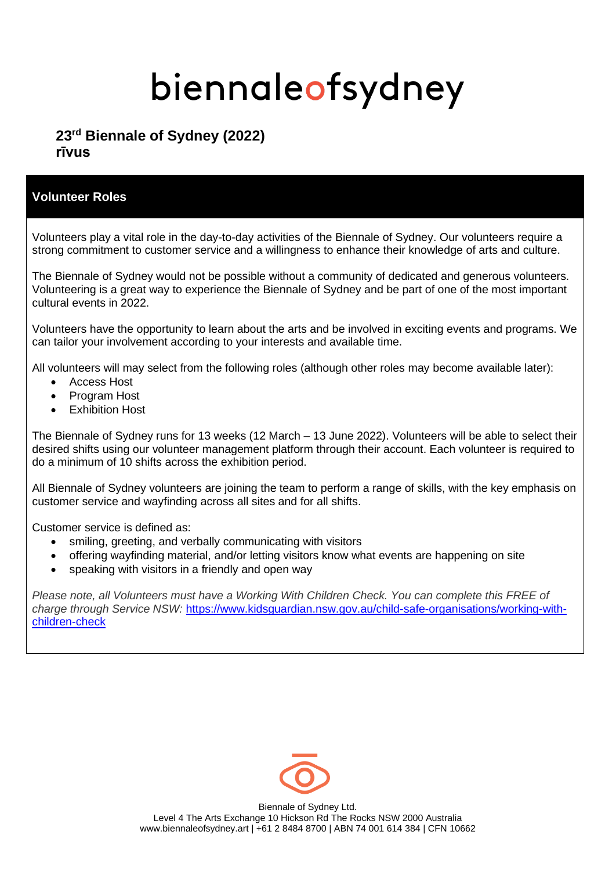## **23 rd Biennale of Sydney (2022) rīvus**

## **Volunteer Roles**

Volunteers play a vital role in the day-to-day activities of the Biennale of Sydney. Our volunteers require a strong commitment to customer service and a willingness to enhance their knowledge of arts and culture.

The Biennale of Sydney would not be possible without a community of dedicated and generous volunteers. Volunteering is a great way to experience the Biennale of Sydney and be part of one of the most important cultural events in 2022.

Volunteers have the opportunity to learn about the arts and be involved in exciting events and programs. We can tailor your involvement according to your interests and available time.

All volunteers will may select from the following roles (although other roles may become available later):

- Access Host
- Program Host
- Exhibition Host

The Biennale of Sydney runs for 13 weeks (12 March – 13 June 2022). Volunteers will be able to select their desired shifts using our volunteer management platform through their account. Each volunteer is required to do a minimum of 10 shifts across the exhibition period.

All Biennale of Sydney volunteers are joining the team to perform a range of skills, with the key emphasis on customer service and wayfinding across all sites and for all shifts.

Customer service is defined as:

- smiling, greeting, and verbally communicating with visitors
- offering wayfinding material, and/or letting visitors know what events are happening on site
- speaking with visitors in a friendly and open way

*Please note, all Volunteers must have a Working With Children Check. You can complete this FREE of charge through Service NSW:* [https://www.kidsguardian.nsw.gov.au/child-safe-organisations/working-with](https://www.kidsguardian.nsw.gov.au/child-safe-organisations/working-with-children-check)[children-check](https://www.kidsguardian.nsw.gov.au/child-safe-organisations/working-with-children-check)

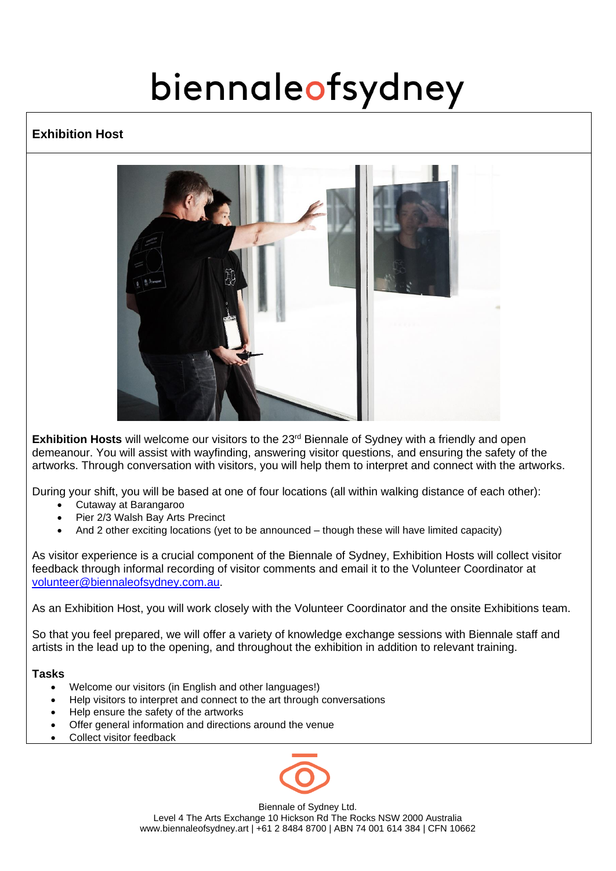## **Exhibition Host**



Exhibition Hosts will welcome our visitors to the 23<sup>rd</sup> Biennale of Sydney with a friendly and open demeanour. You will assist with wayfinding, answering visitor questions, and ensuring the safety of the artworks. Through conversation with visitors, you will help them to interpret and connect with the artworks.

During your shift, you will be based at one of four locations (all within walking distance of each other):

- Cutaway at Barangaroo
- Pier 2/3 Walsh Bay Arts Precinct
- And 2 other exciting locations (yet to be announced though these will have limited capacity)

As visitor experience is a crucial component of the Biennale of Sydney, Exhibition Hosts will collect visitor feedback through informal recording of visitor comments and email it to the Volunteer Coordinator at [volunteer@biennaleofsydney.com.au.](mailto:volunteer@biennaleofsydney.com.au)

As an Exhibition Host, you will work closely with the Volunteer Coordinator and the onsite Exhibitions team.

So that you feel prepared, we will offer a variety of knowledge exchange sessions with Biennale staff and artists in the lead up to the opening, and throughout the exhibition in addition to relevant training.

#### **Tasks**

- Welcome our visitors (in English and other languages!)
- Help visitors to interpret and connect to the art through conversations
- Help ensure the safety of the artworks
- Offer general information and directions around the venue
- Collect visitor feedback

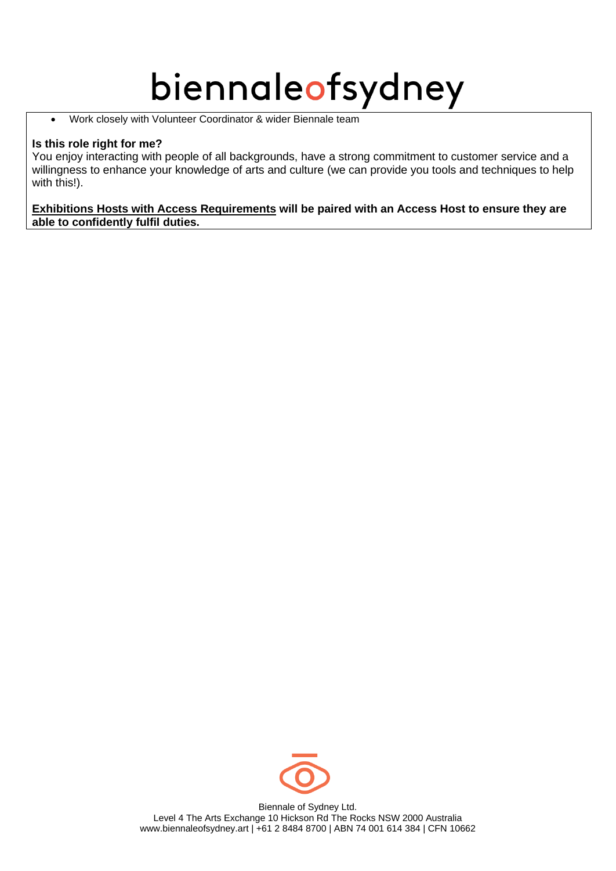• Work closely with Volunteer Coordinator & wider Biennale team

### **Is this role right for me?**

You enjoy interacting with people of all backgrounds, have a strong commitment to customer service and a willingness to enhance your knowledge of arts and culture (we can provide you tools and techniques to help with this!).

#### **Exhibitions Hosts with Access Requirements will be paired with an Access Host to ensure they are able to confidently fulfil duties.**

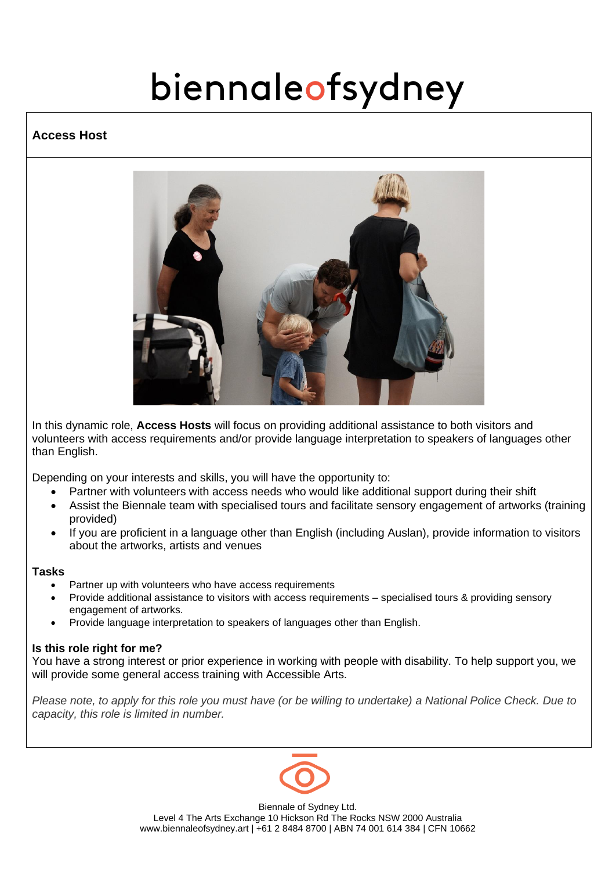### **Access Host**



In this dynamic role, **Access Hosts** will focus on providing additional assistance to both visitors and volunteers with access requirements and/or provide language interpretation to speakers of languages other than English.

Depending on your interests and skills, you will have the opportunity to:

- Partner with volunteers with access needs who would like additional support during their shift
- Assist the Biennale team with specialised tours and facilitate sensory engagement of artworks (training provided)
- If you are proficient in a language other than English (including Auslan), provide information to visitors about the artworks, artists and venues

#### **Tasks**

- Partner up with volunteers who have access requirements
- Provide additional assistance to visitors with access requirements specialised tours & providing sensory engagement of artworks.
- Provide language interpretation to speakers of languages other than English.

#### **Is this role right for me?**

You have a strong interest or prior experience in working with people with disability. To help support you, we will provide some general access training with Accessible Arts.

*Please note, to apply for this role you must have (or be willing to undertake) a National Police Check. Due to capacity, this role is limited in number.*